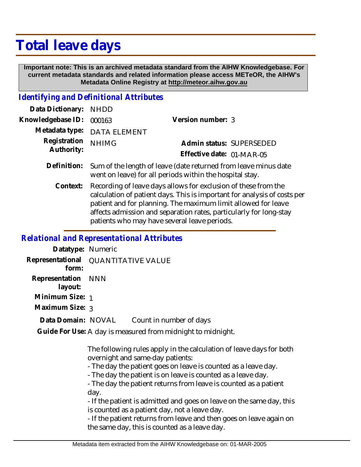# **Total leave days**

 **Important note: This is an archived metadata standard from the AIHW Knowledgebase. For current metadata standards and related information please access METeOR, the AIHW's Metadata Online Registry at http://meteor.aihw.gov.au**

### *Identifying and Definitional Attributes*

| Data Dictionary: NHDD    |                             |                           |  |
|--------------------------|-----------------------------|---------------------------|--|
| Knowledgebase ID: 000163 |                             | Version number: 3         |  |
|                          | Metadata type: DATA ELEMENT |                           |  |
| Registration NHIMG       |                             | Admin status: SUPERSEDED  |  |
| Authority:               |                             | Effective date: 01-MAR-05 |  |
|                          |                             |                           |  |

- Definition: Sum of the length of leave (date returned from leave minus date went on leave) for all periods within the hospital stay.
	- Recording of leave days allows for exclusion of these from the calculation of patient days. This is important for analysis of costs per patient and for planning. The maximum limit allowed for leave affects admission and separation rates, particularly for long-stay patients who may have several leave periods. **Context:**

#### *Relational and Representational Attributes*

| Datatype: Numeric             |                    |                         |
|-------------------------------|--------------------|-------------------------|
| Representational<br>form:     | QUANTITATIVE VALUE |                         |
| Representation NNN<br>layout: |                    |                         |
| Minimum Size: 1               |                    |                         |
| Maximum Size: 3               |                    |                         |
| Data Domain: NOVAL            |                    | Count in number of days |

Guide For Use: A day is measured from midnight to midnight.

The following rules apply in the calculation of leave days for both overnight and same-day patients:

- The day the patient goes on leave is counted as a leave day.
- The day the patient is on leave is counted as a leave day.

- The day the patient returns from leave is counted as a patient day.

- If the patient is admitted and goes on leave on the same day, this is counted as a patient day, not a leave day.

- If the patient returns from leave and then goes on leave again on the same day, this is counted as a leave day.